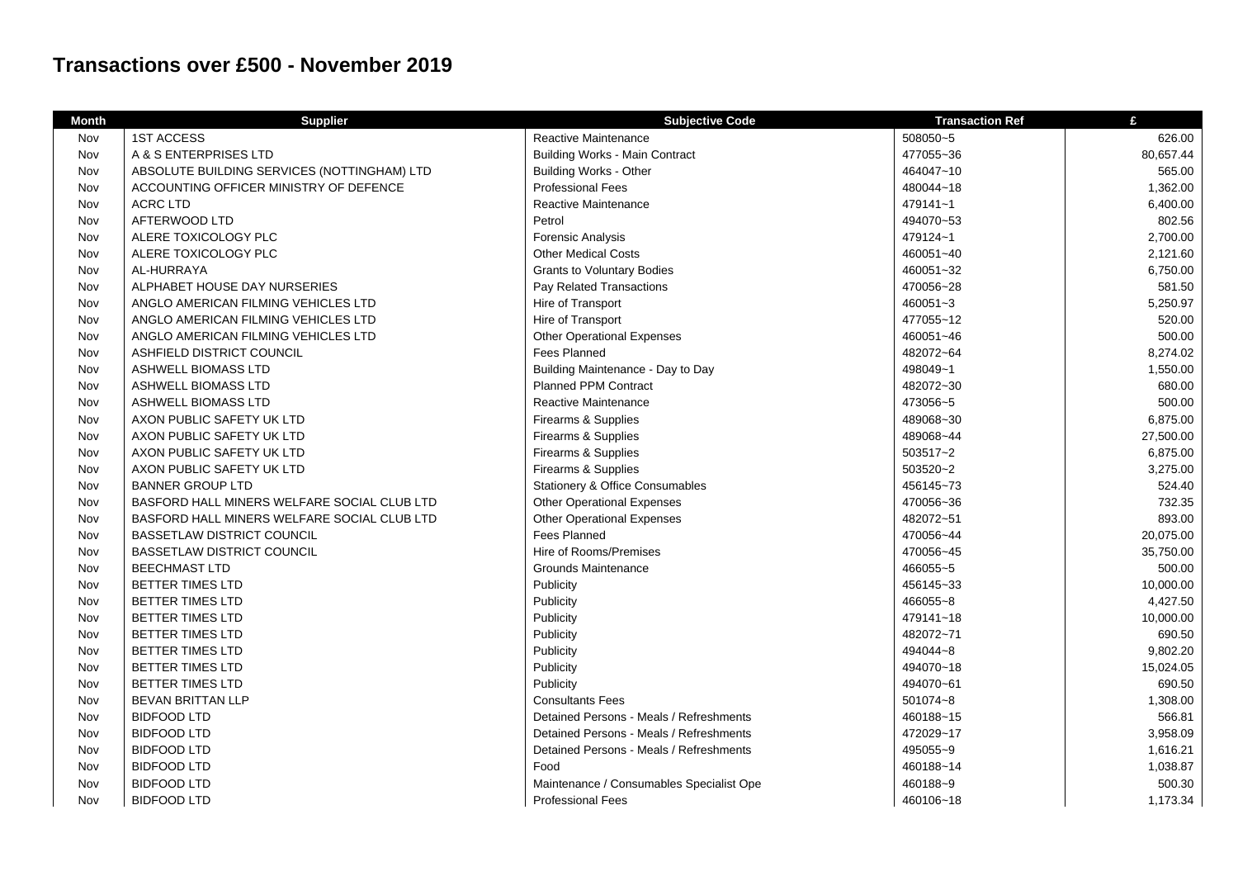## **Transactions over £500 - November 2019**

| <b>Month</b> | <b>Supplier</b>                             | <b>Subjective Code</b>                     | <b>Transaction Ref</b> | £         |
|--------------|---------------------------------------------|--------------------------------------------|------------------------|-----------|
| Nov          | <b>1ST ACCESS</b>                           | Reactive Maintenance                       | 508050~5               | 626.00    |
| Nov          | A & S ENTERPRISES LTD                       | <b>Building Works - Main Contract</b>      | 477055~36              | 80,657.44 |
| Nov          | ABSOLUTE BUILDING SERVICES (NOTTINGHAM) LTD | <b>Building Works - Other</b>              | 464047~10              | 565.00    |
| Nov          | ACCOUNTING OFFICER MINISTRY OF DEFENCE      | <b>Professional Fees</b>                   | 480044~18              | 1,362.00  |
| Nov          | <b>ACRC LTD</b>                             | Reactive Maintenance                       | 479141~1               | 6,400.00  |
| Nov          | AFTERWOOD LTD                               | Petrol                                     | 494070~53              | 802.56    |
| Nov          | ALERE TOXICOLOGY PLC                        | <b>Forensic Analysis</b>                   | 479124~1               | 2,700.00  |
| Nov          | ALERE TOXICOLOGY PLC                        | <b>Other Medical Costs</b>                 | 460051~40              | 2,121.60  |
| Nov          | AL-HURRAYA                                  | <b>Grants to Voluntary Bodies</b>          | 460051~32              | 6,750.00  |
| Nov          | ALPHABET HOUSE DAY NURSERIES                | Pay Related Transactions                   | 470056~28              | 581.50    |
| Nov          | ANGLO AMERICAN FILMING VEHICLES LTD         | Hire of Transport                          | 460051~3               | 5,250.97  |
| Nov          | ANGLO AMERICAN FILMING VEHICLES LTD         | Hire of Transport                          | 477055~12              | 520.00    |
| Nov          | ANGLO AMERICAN FILMING VEHICLES LTD         | <b>Other Operational Expenses</b>          | 460051~46              | 500.00    |
| Nov          | ASHFIELD DISTRICT COUNCIL                   | <b>Fees Planned</b>                        | 482072~64              | 8,274.02  |
| Nov          | <b>ASHWELL BIOMASS LTD</b>                  | Building Maintenance - Day to Day          | 498049~1               | 1,550.00  |
| Nov          | <b>ASHWELL BIOMASS LTD</b>                  | <b>Planned PPM Contract</b>                | 482072~30              | 680.00    |
| Nov          | <b>ASHWELL BIOMASS LTD</b>                  | Reactive Maintenance                       | 473056~5               | 500.00    |
| Nov          | AXON PUBLIC SAFETY UK LTD                   | Firearms & Supplies                        | 489068~30              | 6,875.00  |
| Nov          | AXON PUBLIC SAFETY UK LTD                   | Firearms & Supplies                        | 489068~44              | 27,500.00 |
| Nov          | AXON PUBLIC SAFETY UK LTD                   | Firearms & Supplies                        | 503517~2               | 6,875.00  |
| Nov          | AXON PUBLIC SAFETY UK LTD                   | Firearms & Supplies                        | 503520~2               | 3,275.00  |
| Nov          | <b>BANNER GROUP LTD</b>                     | <b>Stationery &amp; Office Consumables</b> | 456145~73              | 524.40    |
| Nov          | BASFORD HALL MINERS WELFARE SOCIAL CLUB LTD | <b>Other Operational Expenses</b>          | 470056~36              | 732.35    |
| Nov          | BASFORD HALL MINERS WELFARE SOCIAL CLUB LTD | <b>Other Operational Expenses</b>          | 482072~51              | 893.00    |
| Nov          | <b>BASSETLAW DISTRICT COUNCIL</b>           | <b>Fees Planned</b>                        | 470056~44              | 20,075.00 |
| Nov          | <b>BASSETLAW DISTRICT COUNCIL</b>           | Hire of Rooms/Premises                     | 470056~45              | 35,750.00 |
| Nov          | <b>BEECHMAST LTD</b>                        | Grounds Maintenance                        | 466055~5               | 500.00    |
| Nov          | <b>BETTER TIMES LTD</b>                     | Publicity                                  | 456145~33              | 10,000.00 |
| Nov          | <b>BETTER TIMES LTD</b>                     | Publicity                                  | 466055~8               | 4,427.50  |
| Nov          | <b>BETTER TIMES LTD</b>                     | Publicity                                  | 479141~18              | 10,000.00 |
| Nov          | <b>BETTER TIMES LTD</b>                     | Publicity                                  | 482072~71              | 690.50    |
| Nov          | <b>BETTER TIMES LTD</b>                     | Publicity                                  | 494044~8               | 9,802.20  |
| Nov          | <b>BETTER TIMES LTD</b>                     | Publicity                                  | 494070~18              | 15,024.05 |
| Nov          | <b>BETTER TIMES LTD</b>                     | Publicity                                  | 494070~61              | 690.50    |
| Nov          | <b>BEVAN BRITTAN LLP</b>                    | <b>Consultants Fees</b>                    | 501074~8               | 1,308.00  |
| Nov          | <b>BIDFOOD LTD</b>                          | Detained Persons - Meals / Refreshments    | 460188~15              | 566.81    |
| Nov          | <b>BIDFOOD LTD</b>                          | Detained Persons - Meals / Refreshments    | 472029~17              | 3,958.09  |
| Nov          | <b>BIDFOOD LTD</b>                          | Detained Persons - Meals / Refreshments    | 495055~9               | 1,616.21  |
| Nov          | <b>BIDFOOD LTD</b>                          | Food                                       | 460188~14              | 1,038.87  |
| Nov          | <b>BIDFOOD LTD</b>                          | Maintenance / Consumables Specialist Ope   | 460188~9               | 500.30    |
| Nov          | <b>BIDFOOD LTD</b>                          | <b>Professional Fees</b>                   | 460106~18              | 1,173.34  |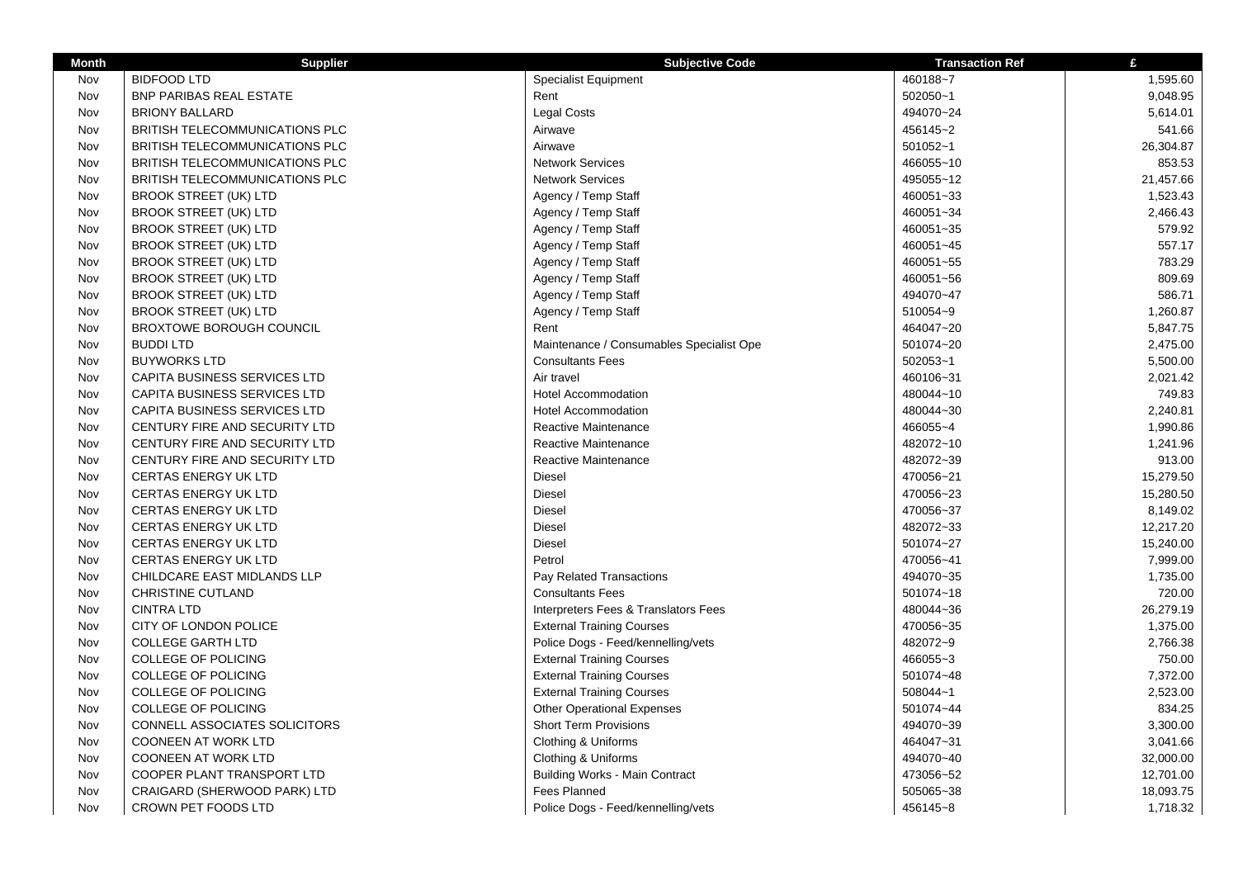| <b>Month</b> | <b>Supplier</b>                       | <b>Subjective Code</b>                   | <b>Transaction Ref</b> | £         |
|--------------|---------------------------------------|------------------------------------------|------------------------|-----------|
| Nov          | <b>BIDFOOD LTD</b>                    | <b>Specialist Equipment</b>              | 460188~7               | 1,595.60  |
| Nov          | <b>BNP PARIBAS REAL ESTATE</b>        | Rent                                     | 502050~1               | 9,048.95  |
| Nov          | <b>BRIONY BALLARD</b>                 | Legal Costs                              | 494070~24              | 5,614.01  |
| Nov          | BRITISH TELECOMMUNICATIONS PLC        | Airwave                                  | 456145~2               | 541.66    |
| Nov          | BRITISH TELECOMMUNICATIONS PLC        | Airwave                                  | 501052~1               | 26,304.87 |
| Nov          | <b>BRITISH TELECOMMUNICATIONS PLC</b> | <b>Network Services</b>                  | 466055~10              | 853.53    |
| Nov          | BRITISH TELECOMMUNICATIONS PLC        | <b>Network Services</b>                  | 495055~12              | 21,457.66 |
| Nov          | <b>BROOK STREET (UK) LTD</b>          | Agency / Temp Staff                      | 460051~33              | 1,523.43  |
| Nov          | <b>BROOK STREET (UK) LTD</b>          | Agency / Temp Staff                      | 460051~34              | 2,466.43  |
| Nov          | <b>BROOK STREET (UK) LTD</b>          | Agency / Temp Staff                      | 460051~35              | 579.92    |
| Nov          | <b>BROOK STREET (UK) LTD</b>          | Agency / Temp Staff                      | 460051~45              | 557.17    |
| Nov          | <b>BROOK STREET (UK) LTD</b>          | Agency / Temp Staff                      | 460051~55              | 783.29    |
| Nov          | <b>BROOK STREET (UK) LTD</b>          | Agency / Temp Staff                      | 460051~56              | 809.69    |
| Nov          | <b>BROOK STREET (UK) LTD</b>          | Agency / Temp Staff                      | 494070~47              | 586.71    |
| Nov          | <b>BROOK STREET (UK) LTD</b>          | Agency / Temp Staff                      | 510054~9               | 1,260.87  |
| Nov          | <b>BROXTOWE BOROUGH COUNCIL</b>       | Rent                                     | 464047~20              | 5,847.75  |
| Nov          | <b>BUDDILTD</b>                       | Maintenance / Consumables Specialist Ope | 501074~20              | 2,475.00  |
| Nov          | <b>BUYWORKS LTD</b>                   | <b>Consultants Fees</b>                  | 502053~1               | 5,500.00  |
| Nov          | CAPITA BUSINESS SERVICES LTD          | Air travel                               | 460106~31              | 2,021.42  |
| Nov          | CAPITA BUSINESS SERVICES LTD          | <b>Hotel Accommodation</b>               | 480044~10              | 749.83    |
| Nov          | CAPITA BUSINESS SERVICES LTD          | <b>Hotel Accommodation</b>               | 480044~30              | 2,240.81  |
| Nov          | CENTURY FIRE AND SECURITY LTD         | Reactive Maintenance                     | 466055~4               | 1,990.86  |
| Nov          | CENTURY FIRE AND SECURITY LTD         | Reactive Maintenance                     | 482072~10              | 1,241.96  |
| Nov          | CENTURY FIRE AND SECURITY LTD         | <b>Reactive Maintenance</b>              | 482072~39              | 913.00    |
| Nov          | CERTAS ENERGY UK LTD                  | Diesel                                   | 470056~21              | 15,279.50 |
| Nov          | <b>CERTAS ENERGY UK LTD</b>           | Diesel                                   | 470056~23              | 15,280.50 |
| Nov          | CERTAS ENERGY UK LTD                  | <b>Diesel</b>                            | 470056~37              | 8,149.02  |
| Nov          | <b>CERTAS ENERGY UK LTD</b>           | <b>Diesel</b>                            | 482072~33              | 12,217.20 |
| Nov          | CERTAS ENERGY UK LTD                  | <b>Diesel</b>                            | 501074~27              | 15,240.00 |
| Nov          | <b>CERTAS ENERGY UK LTD</b>           | Petrol                                   | 470056~41              | 7,999.00  |
| Nov          | CHILDCARE EAST MIDLANDS LLP           | Pay Related Transactions                 | 494070~35              | 1,735.00  |
| Nov          | <b>CHRISTINE CUTLAND</b>              | <b>Consultants Fees</b>                  | 501074~18              | 720.00    |
| Nov          | <b>CINTRA LTD</b>                     | Interpreters Fees & Translators Fees     | 480044~36              | 26,279.19 |
| Nov          | <b>CITY OF LONDON POLICE</b>          | <b>External Training Courses</b>         | 470056~35              | 1,375.00  |
| Nov          | <b>COLLEGE GARTH LTD</b>              | Police Dogs - Feed/kennelling/vets       | 482072~9               | 2,766.38  |
| Nov          | <b>COLLEGE OF POLICING</b>            | <b>External Training Courses</b>         | 466055~3               | 750.00    |
| Nov          | <b>COLLEGE OF POLICING</b>            | <b>External Training Courses</b>         | 501074~48              | 7,372.00  |
| Nov          | <b>COLLEGE OF POLICING</b>            | <b>External Training Courses</b>         | 508044~1               | 2,523.00  |
| Nov          | <b>COLLEGE OF POLICING</b>            | <b>Other Operational Expenses</b>        | 501074~44              | 834.25    |
| Nov          | CONNELL ASSOCIATES SOLICITORS         | <b>Short Term Provisions</b>             | 494070~39              | 3,300.00  |
| Nov          | <b>COONEEN AT WORK LTD</b>            | Clothing & Uniforms                      | 464047~31              | 3,041.66  |
| Nov          | <b>COONEEN AT WORK LTD</b>            | Clothing & Uniforms                      | 494070~40              | 32,000.00 |
| Nov          | COOPER PLANT TRANSPORT LTD            | <b>Building Works - Main Contract</b>    | 473056~52              | 12,701.00 |
| Nov          | CRAIGARD (SHERWOOD PARK) LTD          | <b>Fees Planned</b>                      | 505065~38              | 18,093.75 |
| Nov          | CROWN PET FOODS LTD                   | Police Dogs - Feed/kennelling/vets       | 456145~8               | 1,718.32  |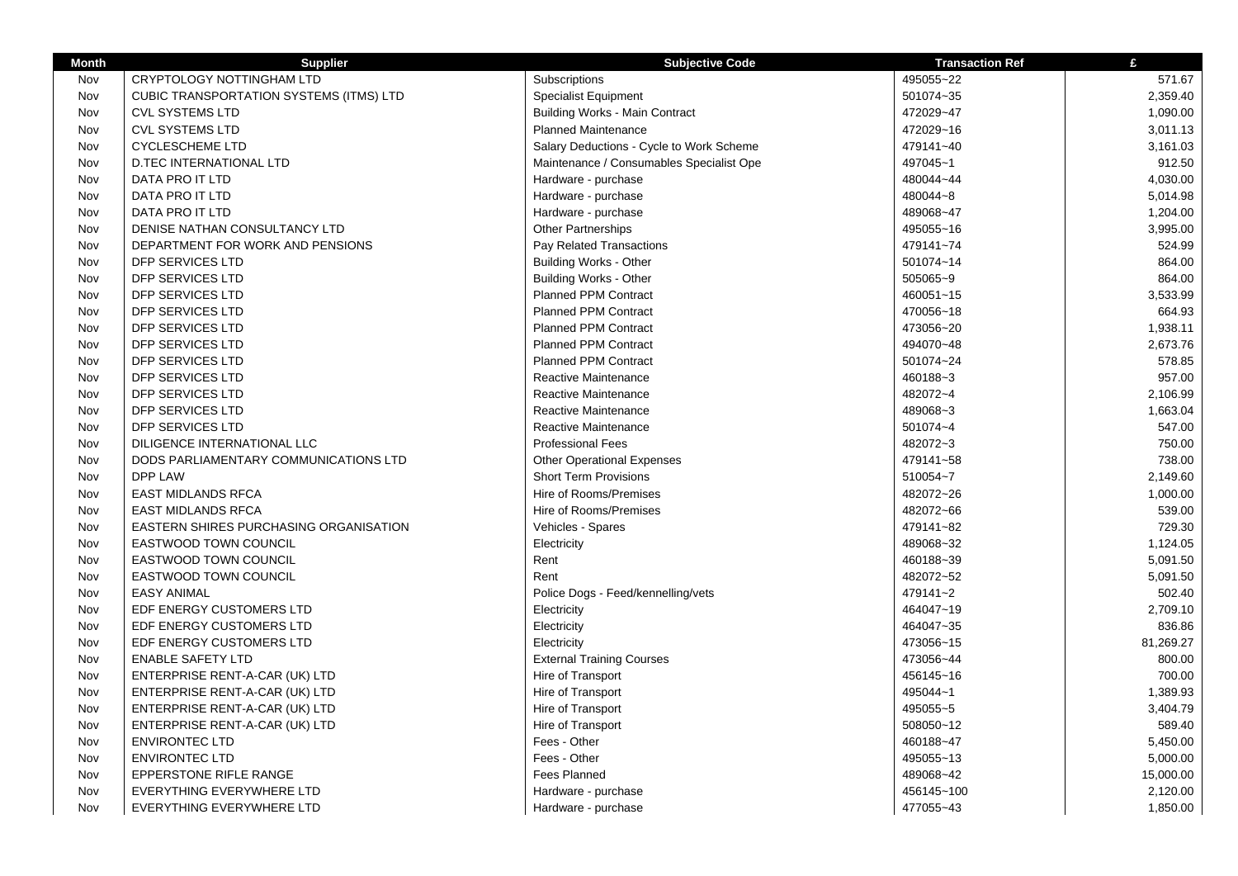| <b>Month</b> | <b>Supplier</b>                                | <b>Subjective Code</b>                   | <b>Transaction Ref</b> | £         |
|--------------|------------------------------------------------|------------------------------------------|------------------------|-----------|
| Nov          | <b>CRYPTOLOGY NOTTINGHAM LTD</b>               | Subscriptions                            | 495055~22              | 571.67    |
| Nov          | <b>CUBIC TRANSPORTATION SYSTEMS (ITMS) LTD</b> | <b>Specialist Equipment</b>              | 501074~35              | 2,359.40  |
| Nov          | <b>CVL SYSTEMS LTD</b>                         | <b>Building Works - Main Contract</b>    | 472029~47              | 1,090.00  |
| Nov          | <b>CVL SYSTEMS LTD</b>                         | <b>Planned Maintenance</b>               | 472029~16              | 3,011.13  |
| Nov          | <b>CYCLESCHEME LTD</b>                         | Salary Deductions - Cycle to Work Scheme | 479141~40              | 3,161.03  |
| Nov          | <b>D.TEC INTERNATIONAL LTD</b>                 | Maintenance / Consumables Specialist Ope | 497045~1               | 912.50    |
| Nov          | DATA PRO IT LTD                                | Hardware - purchase                      | 480044~44              | 4,030.00  |
| Nov          | DATA PRO IT LTD                                | Hardware - purchase                      | 480044~8               | 5,014.98  |
| Nov          | DATA PRO IT LTD                                | Hardware - purchase                      | 489068~47              | 1,204.00  |
| Nov          | DENISE NATHAN CONSULTANCY LTD                  | <b>Other Partnerships</b>                | 495055~16              | 3,995.00  |
| Nov          | DEPARTMENT FOR WORK AND PENSIONS               | Pay Related Transactions                 | 479141~74              | 524.99    |
| Nov          | DFP SERVICES LTD                               | <b>Building Works - Other</b>            | 501074~14              | 864.00    |
| Nov          | DFP SERVICES LTD                               | <b>Building Works - Other</b>            | 505065~9               | 864.00    |
| Nov          | DFP SERVICES LTD                               | <b>Planned PPM Contract</b>              | 460051~15              | 3,533.99  |
| Nov          | DFP SERVICES LTD                               | <b>Planned PPM Contract</b>              | 470056~18              | 664.93    |
| Nov          | DFP SERVICES LTD                               | <b>Planned PPM Contract</b>              | 473056~20              | 1,938.11  |
| Nov          | DFP SERVICES LTD                               | <b>Planned PPM Contract</b>              | 494070~48              | 2,673.76  |
| Nov          | DFP SERVICES LTD                               | <b>Planned PPM Contract</b>              | 501074~24              | 578.85    |
| Nov          | DFP SERVICES LTD                               | Reactive Maintenance                     | 460188~3               | 957.00    |
| Nov          | DFP SERVICES LTD                               | Reactive Maintenance                     | 482072~4               | 2,106.99  |
| Nov          | DFP SERVICES LTD                               | Reactive Maintenance                     | 489068~3               | 1,663.04  |
| Nov          | DFP SERVICES LTD                               | Reactive Maintenance                     | 501074~4               | 547.00    |
| Nov          | DILIGENCE INTERNATIONAL LLC                    | <b>Professional Fees</b>                 | 482072~3               | 750.00    |
| Nov          | DODS PARLIAMENTARY COMMUNICATIONS LTD          | <b>Other Operational Expenses</b>        | 479141~58              | 738.00    |
| Nov          | DPP LAW                                        | <b>Short Term Provisions</b>             | 510054~7               | 2,149.60  |
| Nov          | <b>EAST MIDLANDS RFCA</b>                      | Hire of Rooms/Premises                   | 482072~26              | 1,000.00  |
| Nov          | <b>EAST MIDLANDS RFCA</b>                      | Hire of Rooms/Premises                   | 482072~66              | 539.00    |
| Nov          | <b>EASTERN SHIRES PURCHASING ORGANISATION</b>  | Vehicles - Spares                        | 479141~82              | 729.30    |
| Nov          | <b>EASTWOOD TOWN COUNCIL</b>                   | Electricity                              | 489068~32              | 1,124.05  |
| Nov          | <b>EASTWOOD TOWN COUNCIL</b>                   | Rent                                     | 460188~39              | 5,091.50  |
| Nov          | <b>EASTWOOD TOWN COUNCIL</b>                   | Rent                                     | 482072~52              | 5,091.50  |
| Nov          | <b>EASY ANIMAL</b>                             | Police Dogs - Feed/kennelling/vets       | 479141~2               | 502.40    |
| Nov          | EDF ENERGY CUSTOMERS LTD                       | Electricity                              | 464047~19              | 2,709.10  |
| Nov          | EDF ENERGY CUSTOMERS LTD                       | Electricity                              | 464047~35              | 836.86    |
| Nov          | EDF ENERGY CUSTOMERS LTD                       | Electricity                              | 473056~15              | 81,269.27 |
| Nov          | <b>ENABLE SAFETY LTD</b>                       | <b>External Training Courses</b>         | 473056~44              | 800.00    |
| Nov          | ENTERPRISE RENT-A-CAR (UK) LTD                 | Hire of Transport                        | 456145~16              | 700.00    |
| Nov          | ENTERPRISE RENT-A-CAR (UK) LTD                 | Hire of Transport                        | 495044~1               | 1,389.93  |
| Nov          | ENTERPRISE RENT-A-CAR (UK) LTD                 | Hire of Transport                        | 495055~5               | 3,404.79  |
| Nov          | ENTERPRISE RENT-A-CAR (UK) LTD                 | Hire of Transport                        | 508050~12              | 589.40    |
| Nov          | <b>ENVIRONTEC LTD</b>                          | Fees - Other                             | 460188~47              | 5,450.00  |
| Nov          | <b>ENVIRONTEC LTD</b>                          | Fees - Other                             | 495055~13              | 5,000.00  |
| Nov          | <b>EPPERSTONE RIFLE RANGE</b>                  | <b>Fees Planned</b>                      | 489068~42              | 15,000.00 |
| Nov          | EVERYTHING EVERYWHERE LTD                      | Hardware - purchase                      | 456145~100             | 2,120.00  |
| Nov          | EVERYTHING EVERYWHERE LTD                      | Hardware - purchase                      | 477055~43              | 1,850.00  |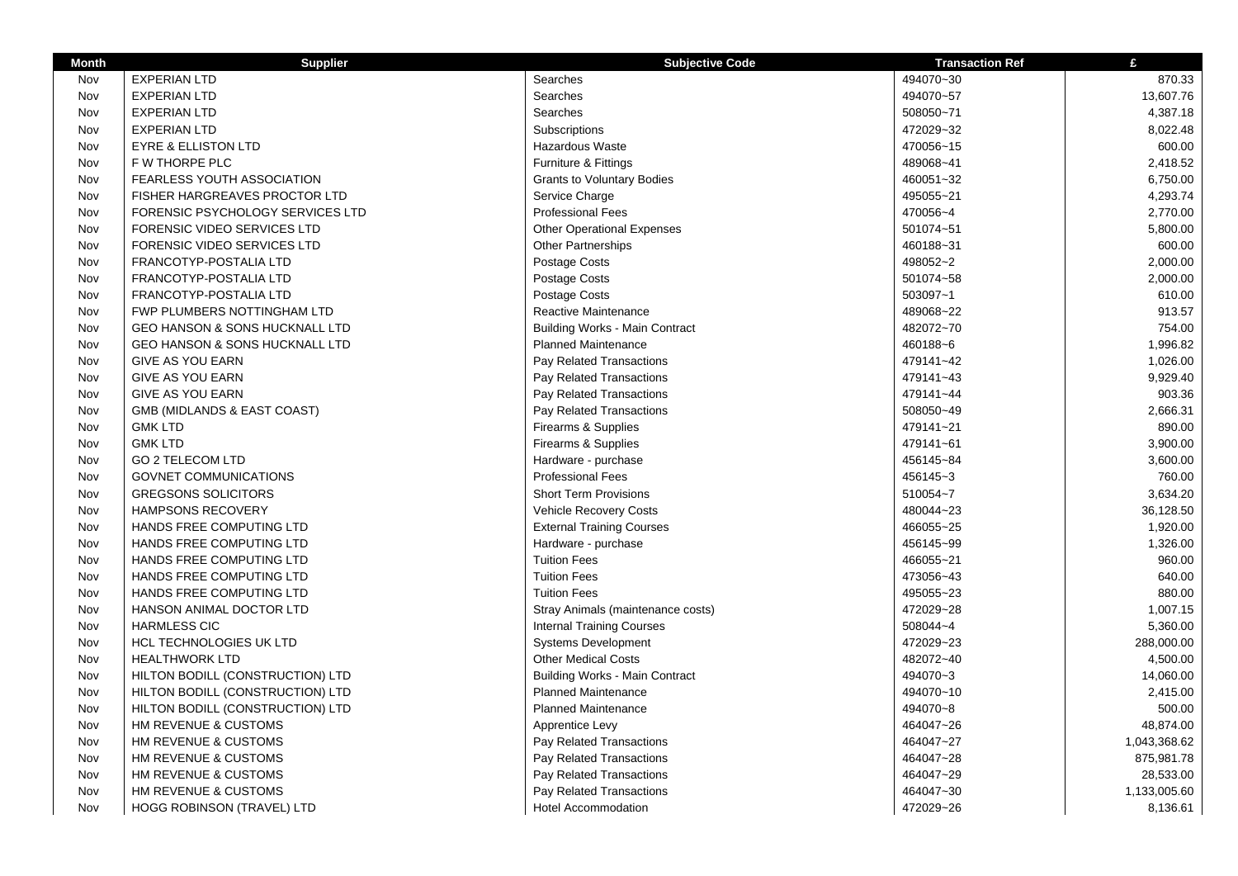| <b>Month</b> | <b>Supplier</b>                           | <b>Subjective Code</b>                | <b>Transaction Ref</b> | £            |
|--------------|-------------------------------------------|---------------------------------------|------------------------|--------------|
| Nov          | <b>EXPERIAN LTD</b>                       | Searches                              | 494070~30              | 870.33       |
| Nov          | <b>EXPERIAN LTD</b>                       | Searches                              | 494070~57              | 13,607.76    |
| Nov          | <b>EXPERIAN LTD</b>                       | Searches                              | 508050~71              | 4,387.18     |
| Nov          | <b>EXPERIAN LTD</b>                       | Subscriptions                         | 472029~32              | 8,022.48     |
| Nov          | <b>EYRE &amp; ELLISTON LTD</b>            | <b>Hazardous Waste</b>                | 470056~15              | 600.00       |
| Nov          | <b>F W THORPE PLC</b>                     | Furniture & Fittings                  | 489068~41              | 2,418.52     |
| Nov          | <b>FEARLESS YOUTH ASSOCIATION</b>         | <b>Grants to Voluntary Bodies</b>     | 460051~32              | 6,750.00     |
| Nov          | FISHER HARGREAVES PROCTOR LTD             | Service Charge                        | 495055~21              | 4,293.74     |
| Nov          | FORENSIC PSYCHOLOGY SERVICES LTD          | <b>Professional Fees</b>              | 470056~4               | 2,770.00     |
| Nov          | FORENSIC VIDEO SERVICES LTD               | <b>Other Operational Expenses</b>     | 501074~51              | 5,800.00     |
| Nov          | FORENSIC VIDEO SERVICES LTD               | <b>Other Partnerships</b>             | 460188~31              | 600.00       |
| Nov          | FRANCOTYP-POSTALIA LTD                    | Postage Costs                         | 498052~2               | 2,000.00     |
| Nov          | FRANCOTYP-POSTALIA LTD                    | Postage Costs                         | 501074~58              | 2,000.00     |
| Nov          | FRANCOTYP-POSTALIA LTD                    | Postage Costs                         | 503097~1               | 610.00       |
| Nov          | FWP PLUMBERS NOTTINGHAM LTD               | Reactive Maintenance                  | 489068~22              | 913.57       |
| Nov          | <b>GEO HANSON &amp; SONS HUCKNALL LTD</b> | <b>Building Works - Main Contract</b> | 482072~70              | 754.00       |
| Nov          | <b>GEO HANSON &amp; SONS HUCKNALL LTD</b> | <b>Planned Maintenance</b>            | 460188~6               | 1,996.82     |
| Nov          | <b>GIVE AS YOU EARN</b>                   | Pay Related Transactions              | 479141~42              | 1,026.00     |
| Nov          | <b>GIVE AS YOU EARN</b>                   | Pay Related Transactions              | 479141~43              | 9,929.40     |
| Nov          | <b>GIVE AS YOU EARN</b>                   | Pay Related Transactions              | 479141~44              | 903.36       |
| Nov          | GMB (MIDLANDS & EAST COAST)               | Pay Related Transactions              | 508050~49              | 2,666.31     |
| Nov          | <b>GMK LTD</b>                            | Firearms & Supplies                   | 479141~21              | 890.00       |
| Nov          | <b>GMK LTD</b>                            | Firearms & Supplies                   | 479141~61              | 3,900.00     |
| Nov          | <b>GO 2 TELECOM LTD</b>                   | Hardware - purchase                   | 456145~84              | 3,600.00     |
| Nov          | GOVNET COMMUNICATIONS                     | <b>Professional Fees</b>              | 456145~3               | 760.00       |
| Nov          | <b>GREGSONS SOLICITORS</b>                | <b>Short Term Provisions</b>          | 510054~7               | 3,634.20     |
| Nov          | <b>HAMPSONS RECOVERY</b>                  | <b>Vehicle Recovery Costs</b>         | 480044~23              | 36,128.50    |
| Nov          | HANDS FREE COMPUTING LTD                  | <b>External Training Courses</b>      | 466055~25              | 1,920.00     |
| Nov          | HANDS FREE COMPUTING LTD                  | Hardware - purchase                   | 456145~99              | 1,326.00     |
| Nov          | HANDS FREE COMPUTING LTD                  | <b>Tuition Fees</b>                   | 466055~21              | 960.00       |
| Nov          | HANDS FREE COMPUTING LTD                  | <b>Tuition Fees</b>                   | 473056~43              | 640.00       |
| Nov          | HANDS FREE COMPUTING LTD                  | <b>Tuition Fees</b>                   | 495055~23              | 880.00       |
| Nov          | HANSON ANIMAL DOCTOR LTD                  | Stray Animals (maintenance costs)     | 472029~28              | 1,007.15     |
| Nov          | <b>HARMLESS CIC</b>                       | <b>Internal Training Courses</b>      | 508044~4               | 5,360.00     |
| Nov          | <b>HCL TECHNOLOGIES UK LTD</b>            | <b>Systems Development</b>            | 472029~23              | 288,000.00   |
| Nov          | <b>HEALTHWORK LTD</b>                     | <b>Other Medical Costs</b>            | 482072~40              | 4,500.00     |
| Nov          | HILTON BODILL (CONSTRUCTION) LTD          | <b>Building Works - Main Contract</b> | 494070~3               | 14,060.00    |
| Nov          | HILTON BODILL (CONSTRUCTION) LTD          | <b>Planned Maintenance</b>            | 494070~10              | 2,415.00     |
| Nov          | HILTON BODILL (CONSTRUCTION) LTD          | <b>Planned Maintenance</b>            | 494070~8               | 500.00       |
| Nov          | HM REVENUE & CUSTOMS                      | Apprentice Levy                       | 464047~26              | 48,874.00    |
| Nov          | HM REVENUE & CUSTOMS                      | Pay Related Transactions              | 464047~27              | 1,043,368.62 |
| Nov          | HM REVENUE & CUSTOMS                      | Pay Related Transactions              | 464047~28              | 875,981.78   |
| Nov          | HM REVENUE & CUSTOMS                      | Pay Related Transactions              | 464047~29              | 28,533.00    |
| Nov          | HM REVENUE & CUSTOMS                      | Pay Related Transactions              | 464047~30              | 1,133,005.60 |
| Nov          | HOGG ROBINSON (TRAVEL) LTD                | <b>Hotel Accommodation</b>            | 472029~26              | 8,136.61     |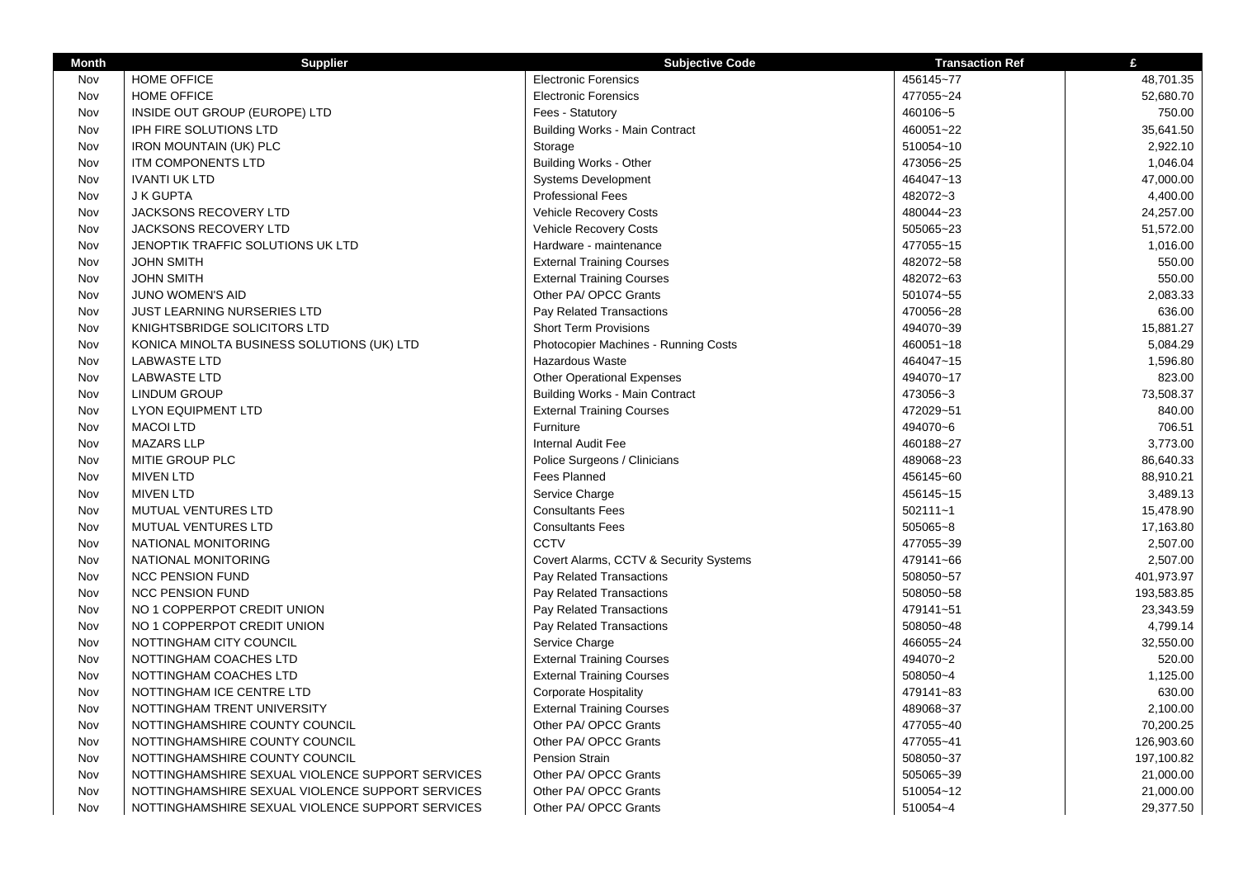| <b>Month</b> | <b>Supplier</b>                                  | <b>Subjective Code</b>                      | <b>Transaction Ref</b> | £          |
|--------------|--------------------------------------------------|---------------------------------------------|------------------------|------------|
| Nov          | HOME OFFICE                                      | <b>Electronic Forensics</b>                 | 456145~77              | 48,701.35  |
| Nov          | <b>HOME OFFICE</b>                               | <b>Electronic Forensics</b>                 | 477055~24              | 52,680.70  |
| Nov          | INSIDE OUT GROUP (EUROPE) LTD                    | Fees - Statutory                            | 460106~5               | 750.00     |
| Nov          | <b>IPH FIRE SOLUTIONS LTD</b>                    | <b>Building Works - Main Contract</b>       | 460051~22              | 35,641.50  |
| Nov          | <b>IRON MOUNTAIN (UK) PLC</b>                    | Storage                                     | 510054~10              | 2,922.10   |
| Nov          | ITM COMPONENTS LTD                               | <b>Building Works - Other</b>               | 473056~25              | 1,046.04   |
| Nov          | <b>IVANTI UK LTD</b>                             | <b>Systems Development</b>                  | 464047~13              | 47,000.00  |
| Nov          | <b>J K GUPTA</b>                                 | <b>Professional Fees</b>                    | 482072~3               | 4,400.00   |
| Nov          | <b>JACKSONS RECOVERY LTD</b>                     | Vehicle Recovery Costs                      | 480044~23              | 24,257.00  |
| Nov          | <b>JACKSONS RECOVERY LTD</b>                     | <b>Vehicle Recovery Costs</b>               | 505065~23              | 51,572.00  |
| Nov          | JENOPTIK TRAFFIC SOLUTIONS UK LTD                | Hardware - maintenance                      | 477055~15              | 1,016.00   |
| Nov          | <b>JOHN SMITH</b>                                | <b>External Training Courses</b>            | 482072~58              | 550.00     |
| Nov          | <b>JOHN SMITH</b>                                | <b>External Training Courses</b>            | 482072~63              | 550.00     |
| Nov          | JUNO WOMEN'S AID                                 | Other PA/ OPCC Grants                       | 501074~55              | 2,083.33   |
| Nov          | <b>JUST LEARNING NURSERIES LTD</b>               | Pay Related Transactions                    | 470056~28              | 636.00     |
| Nov          | KNIGHTSBRIDGE SOLICITORS LTD                     | <b>Short Term Provisions</b>                | 494070~39              | 15,881.27  |
| Nov          | KONICA MINOLTA BUSINESS SOLUTIONS (UK) LTD       | <b>Photocopier Machines - Running Costs</b> | 460051~18              | 5,084.29   |
| Nov          | <b>LABWASTE LTD</b>                              | <b>Hazardous Waste</b>                      | 464047~15              | 1,596.80   |
| Nov          | <b>LABWASTE LTD</b>                              | <b>Other Operational Expenses</b>           | 494070~17              | 823.00     |
| Nov          | <b>LINDUM GROUP</b>                              | <b>Building Works - Main Contract</b>       | 473056~3               | 73,508.37  |
| Nov          | <b>LYON EQUIPMENT LTD</b>                        | <b>External Training Courses</b>            | 472029~51              | 840.00     |
| Nov          | <b>MACOI LTD</b>                                 | Furniture                                   | 494070~6               | 706.51     |
| Nov          | <b>MAZARS LLP</b>                                | Internal Audit Fee                          | 460188~27              | 3,773.00   |
| Nov          | MITIE GROUP PLC                                  | Police Surgeons / Clinicians                | 489068~23              | 86,640.33  |
| Nov          | <b>MIVEN LTD</b>                                 | <b>Fees Planned</b>                         | 456145~60              | 88,910.21  |
| Nov          | <b>MIVEN LTD</b>                                 | Service Charge                              | 456145~15              | 3,489.13   |
| Nov          | MUTUAL VENTURES LTD                              | <b>Consultants Fees</b>                     | $502111 - 1$           | 15,478.90  |
| Nov          | MUTUAL VENTURES LTD                              | <b>Consultants Fees</b>                     | 505065~8               | 17,163.80  |
| Nov          | NATIONAL MONITORING                              | <b>CCTV</b>                                 | 477055~39              | 2,507.00   |
| Nov          | NATIONAL MONITORING                              | Covert Alarms, CCTV & Security Systems      | 479141~66              | 2,507.00   |
| Nov          | <b>NCC PENSION FUND</b>                          | Pay Related Transactions                    | 508050~57              | 401,973.97 |
| Nov          | <b>NCC PENSION FUND</b>                          | Pay Related Transactions                    | 508050~58              | 193,583.85 |
| Nov          | NO 1 COPPERPOT CREDIT UNION                      | Pay Related Transactions                    | 479141~51              | 23,343.59  |
| Nov          | NO 1 COPPERPOT CREDIT UNION                      | Pay Related Transactions                    | 508050~48              | 4,799.14   |
| Nov          | NOTTINGHAM CITY COUNCIL                          | Service Charge                              | 466055~24              | 32,550.00  |
| Nov          | NOTTINGHAM COACHES LTD                           | <b>External Training Courses</b>            | 494070~2               | 520.00     |
| Nov          | NOTTINGHAM COACHES LTD                           | <b>External Training Courses</b>            | 508050~4               | 1,125.00   |
| Nov          | NOTTINGHAM ICE CENTRE LTD                        | <b>Corporate Hospitality</b>                | 479141~83              | 630.00     |
| Nov          | NOTTINGHAM TRENT UNIVERSITY                      | <b>External Training Courses</b>            | 489068~37              | 2,100.00   |
| Nov          | NOTTINGHAMSHIRE COUNTY COUNCIL                   | Other PA/ OPCC Grants                       | 477055~40              | 70,200.25  |
| Nov          | NOTTINGHAMSHIRE COUNTY COUNCIL                   | Other PA/ OPCC Grants                       | 477055~41              | 126,903.60 |
| Nov          | NOTTINGHAMSHIRE COUNTY COUNCIL                   | <b>Pension Strain</b>                       | 508050~37              | 197,100.82 |
| Nov          | NOTTINGHAMSHIRE SEXUAL VIOLENCE SUPPORT SERVICES | Other PA/ OPCC Grants                       | 505065~39              | 21,000.00  |
| Nov          | NOTTINGHAMSHIRE SEXUAL VIOLENCE SUPPORT SERVICES | Other PA/ OPCC Grants                       | 510054~12              | 21,000.00  |
| Nov          | NOTTINGHAMSHIRE SEXUAL VIOLENCE SUPPORT SERVICES | Other PA/ OPCC Grants                       | 510054~4               | 29,377.50  |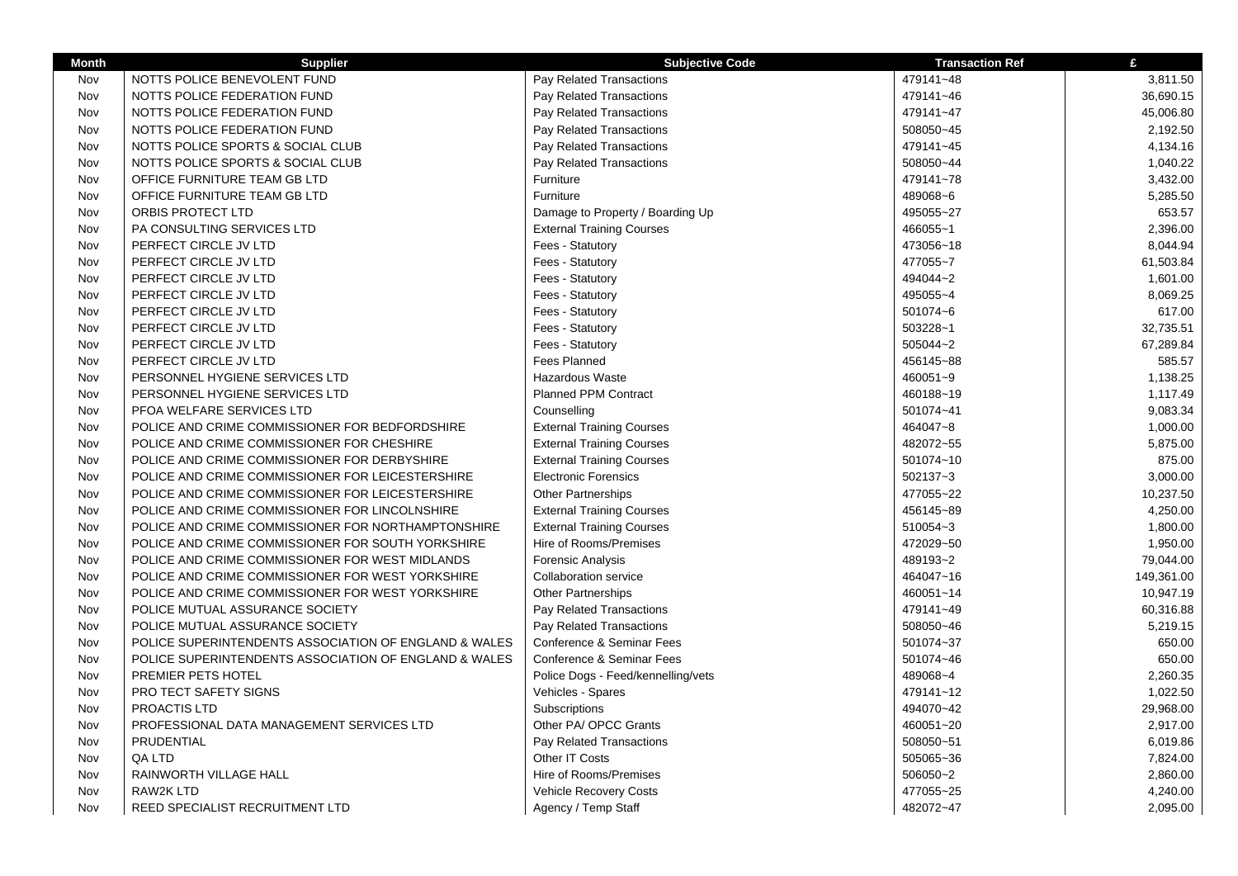| <b>Month</b> | <b>Supplier</b>                                       | <b>Subjective Code</b>             | <b>Transaction Ref</b> | £          |
|--------------|-------------------------------------------------------|------------------------------------|------------------------|------------|
| Nov          | NOTTS POLICE BENEVOLENT FUND                          | Pay Related Transactions           | 479141~48              | 3,811.50   |
| Nov          | NOTTS POLICE FEDERATION FUND                          | Pay Related Transactions           | 479141~46              | 36,690.15  |
| Nov          | NOTTS POLICE FEDERATION FUND                          | Pay Related Transactions           | 479141~47              | 45,006.80  |
| Nov          | NOTTS POLICE FEDERATION FUND                          | Pay Related Transactions           | 508050~45              | 2,192.50   |
| Nov          | NOTTS POLICE SPORTS & SOCIAL CLUB                     | Pay Related Transactions           | 479141~45              | 4,134.16   |
| Nov          | NOTTS POLICE SPORTS & SOCIAL CLUB                     | Pay Related Transactions           | 508050~44              | 1,040.22   |
| Nov          | OFFICE FURNITURE TEAM GB LTD                          | Furniture                          | 479141~78              | 3,432.00   |
| Nov          | OFFICE FURNITURE TEAM GB LTD                          | Furniture                          | 489068~6               | 5,285.50   |
| Nov          | ORBIS PROTECT LTD                                     | Damage to Property / Boarding Up   | 495055~27              | 653.57     |
| Nov          | PA CONSULTING SERVICES LTD                            | <b>External Training Courses</b>   | 466055~1               | 2,396.00   |
| Nov          | PERFECT CIRCLE JV LTD                                 | Fees - Statutory                   | 473056~18              | 8,044.94   |
| Nov          | PERFECT CIRCLE JV LTD                                 | Fees - Statutory                   | 477055~7               | 61,503.84  |
| Nov          | PERFECT CIRCLE JV LTD                                 | Fees - Statutory                   | 494044~2               | 1,601.00   |
| Nov          | PERFECT CIRCLE JV LTD                                 | Fees - Statutory                   | 495055~4               | 8,069.25   |
| Nov          | PERFECT CIRCLE JV LTD                                 | Fees - Statutory                   | 501074~6               | 617.00     |
| Nov          | PERFECT CIRCLE JV LTD                                 | Fees - Statutory                   | 503228~1               | 32,735.51  |
| Nov          | PERFECT CIRCLE JV LTD                                 | Fees - Statutory                   | 505044~2               | 67,289.84  |
| Nov          | PERFECT CIRCLE JV LTD                                 | <b>Fees Planned</b>                | 456145~88              | 585.57     |
| Nov          | PERSONNEL HYGIENE SERVICES LTD                        | <b>Hazardous Waste</b>             | 460051~9               | 1,138.25   |
| Nov          | PERSONNEL HYGIENE SERVICES LTD                        | Planned PPM Contract               | 460188~19              | 1,117.49   |
| Nov          | PFOA WELFARE SERVICES LTD                             | Counselling                        | 501074~41              | 9,083.34   |
| Nov          | POLICE AND CRIME COMMISSIONER FOR BEDFORDSHIRE        | <b>External Training Courses</b>   | 464047~8               | 1,000.00   |
| Nov          | POLICE AND CRIME COMMISSIONER FOR CHESHIRE            | <b>External Training Courses</b>   | 482072~55              | 5,875.00   |
| Nov          | POLICE AND CRIME COMMISSIONER FOR DERBYSHIRE          | <b>External Training Courses</b>   | 501074~10              | 875.00     |
| Nov          | POLICE AND CRIME COMMISSIONER FOR LEICESTERSHIRE      | <b>Electronic Forensics</b>        | 502137~3               | 3,000.00   |
| Nov          | POLICE AND CRIME COMMISSIONER FOR LEICESTERSHIRE      | <b>Other Partnerships</b>          | 477055~22              | 10,237.50  |
| Nov          | POLICE AND CRIME COMMISSIONER FOR LINCOLNSHIRE        | <b>External Training Courses</b>   | 456145~89              | 4,250.00   |
| Nov          | POLICE AND CRIME COMMISSIONER FOR NORTHAMPTONSHIRE    | <b>External Training Courses</b>   | 510054~3               | 1,800.00   |
| Nov          | POLICE AND CRIME COMMISSIONER FOR SOUTH YORKSHIRE     | Hire of Rooms/Premises             | 472029~50              | 1,950.00   |
| Nov          | POLICE AND CRIME COMMISSIONER FOR WEST MIDLANDS       | <b>Forensic Analysis</b>           | 489193~2               | 79,044.00  |
| Nov          | POLICE AND CRIME COMMISSIONER FOR WEST YORKSHIRE      | <b>Collaboration service</b>       | 464047~16              | 149,361.00 |
| Nov          | POLICE AND CRIME COMMISSIONER FOR WEST YORKSHIRE      | <b>Other Partnerships</b>          | 460051~14              | 10,947.19  |
| Nov          | POLICE MUTUAL ASSURANCE SOCIETY                       | Pay Related Transactions           | 479141~49              | 60,316.88  |
| Nov          | POLICE MUTUAL ASSURANCE SOCIETY                       | Pay Related Transactions           | 508050~46              | 5,219.15   |
| Nov          | POLICE SUPERINTENDENTS ASSOCIATION OF ENGLAND & WALES | Conference & Seminar Fees          | 501074~37              | 650.00     |
| Nov          | POLICE SUPERINTENDENTS ASSOCIATION OF ENGLAND & WALES | Conference & Seminar Fees          | 501074~46              | 650.00     |
| Nov          | PREMIER PETS HOTEL                                    | Police Dogs - Feed/kennelling/vets | 489068~4               | 2,260.35   |
| Nov          | PRO TECT SAFETY SIGNS                                 | Vehicles - Spares                  | 479141~12              | 1,022.50   |
| Nov          | PROACTIS LTD                                          | Subscriptions                      | 494070~42              | 29,968.00  |
| Nov          | PROFESSIONAL DATA MANAGEMENT SERVICES LTD             | Other PA/ OPCC Grants              | 460051~20              | 2,917.00   |
| Nov          | PRUDENTIAL                                            | Pay Related Transactions           | 508050~51              | 6,019.86   |
| Nov          | QA LTD                                                | Other IT Costs                     | 505065~36              | 7,824.00   |
| Nov          | RAINWORTH VILLAGE HALL                                | Hire of Rooms/Premises             | 506050~2               | 2,860.00   |
| Nov          | <b>RAW2K LTD</b>                                      | <b>Vehicle Recovery Costs</b>      | 477055~25              | 4,240.00   |
| Nov          | REED SPECIALIST RECRUITMENT LTD                       | Agency / Temp Staff                | 482072~47              | 2,095.00   |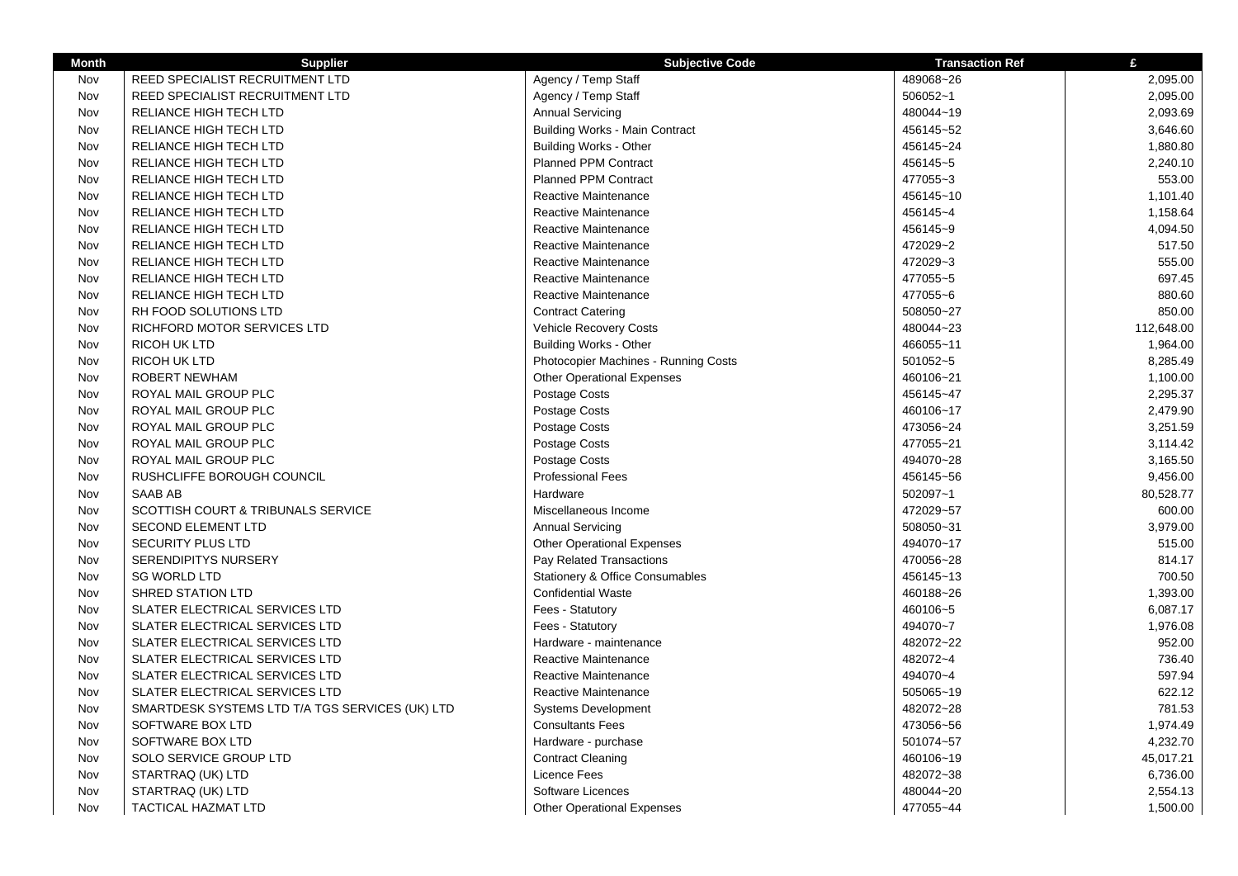| <b>Month</b> | <b>Supplier</b>                                 | <b>Subjective Code</b>                | <b>Transaction Ref</b> | £          |
|--------------|-------------------------------------------------|---------------------------------------|------------------------|------------|
| Nov          | REED SPECIALIST RECRUITMENT LTD                 | Agency / Temp Staff                   | 489068~26              | 2,095.00   |
| Nov          | REED SPECIALIST RECRUITMENT LTD                 | Agency / Temp Staff                   | 506052~1               | 2,095.00   |
| Nov          | RELIANCE HIGH TECH LTD                          | <b>Annual Servicing</b>               | 480044~19              | 2,093.69   |
| Nov          | RELIANCE HIGH TECH LTD                          | <b>Building Works - Main Contract</b> | 456145~52              | 3,646.60   |
| Nov          | RELIANCE HIGH TECH LTD                          | <b>Building Works - Other</b>         | 456145~24              | 1,880.80   |
| Nov          | RELIANCE HIGH TECH LTD                          | <b>Planned PPM Contract</b>           | 456145~5               | 2,240.10   |
| Nov          | RELIANCE HIGH TECH LTD                          | <b>Planned PPM Contract</b>           | 477055~3               | 553.00     |
| Nov          | RELIANCE HIGH TECH LTD                          | Reactive Maintenance                  | 456145~10              | 1,101.40   |
| Nov          | RELIANCE HIGH TECH LTD                          | Reactive Maintenance                  | 456145~4               | 1,158.64   |
| Nov          | <b>RELIANCE HIGH TECH LTD</b>                   | Reactive Maintenance                  | 456145~9               | 4,094.50   |
| Nov          | RELIANCE HIGH TECH LTD                          | Reactive Maintenance                  | 472029~2               | 517.50     |
| Nov          | RELIANCE HIGH TECH LTD                          | Reactive Maintenance                  | 472029~3               | 555.00     |
| Nov          | RELIANCE HIGH TECH LTD                          | Reactive Maintenance                  | 477055~5               | 697.45     |
| Nov          | RELIANCE HIGH TECH LTD                          | Reactive Maintenance                  | 477055~6               | 880.60     |
| Nov          | RH FOOD SOLUTIONS LTD                           | <b>Contract Catering</b>              | 508050~27              | 850.00     |
| Nov          | RICHFORD MOTOR SERVICES LTD                     | Vehicle Recovery Costs                | 480044~23              | 112,648.00 |
| Nov          | <b>RICOH UK LTD</b>                             | <b>Building Works - Other</b>         | 466055~11              | 1,964.00   |
| Nov          | <b>RICOH UK LTD</b>                             | Photocopier Machines - Running Costs  | 501052~5               | 8,285.49   |
| Nov          | <b>ROBERT NEWHAM</b>                            | <b>Other Operational Expenses</b>     | 460106~21              | 1,100.00   |
| Nov          | ROYAL MAIL GROUP PLC                            | Postage Costs                         | 456145~47              | 2,295.37   |
| Nov          | ROYAL MAIL GROUP PLC                            | Postage Costs                         | 460106~17              | 2,479.90   |
| Nov          | ROYAL MAIL GROUP PLC                            | Postage Costs                         | 473056~24              | 3,251.59   |
| Nov          | ROYAL MAIL GROUP PLC                            | Postage Costs                         | 477055~21              | 3,114.42   |
| Nov          | ROYAL MAIL GROUP PLC                            | Postage Costs                         | 494070~28              | 3,165.50   |
| Nov          | RUSHCLIFFE BOROUGH COUNCIL                      | <b>Professional Fees</b>              | 456145~56              | 9,456.00   |
| Nov          | SAAB AB                                         | Hardware                              | 502097~1               | 80,528.77  |
| Nov          | SCOTTISH COURT & TRIBUNALS SERVICE              | Miscellaneous Income                  | 472029~57              | 600.00     |
| Nov          | <b>SECOND ELEMENT LTD</b>                       | <b>Annual Servicing</b>               | 508050~31              | 3,979.00   |
| Nov          | <b>SECURITY PLUS LTD</b>                        | <b>Other Operational Expenses</b>     | 494070~17              | 515.00     |
| Nov          | SERENDIPITYS NURSERY                            | Pay Related Transactions              | 470056~28              | 814.17     |
| Nov          | <b>SG WORLD LTD</b>                             | Stationery & Office Consumables       | 456145~13              | 700.50     |
| Nov          | <b>SHRED STATION LTD</b>                        | <b>Confidential Waste</b>             | 460188~26              | 1,393.00   |
| Nov          | SLATER ELECTRICAL SERVICES LTD                  | Fees - Statutory                      | 460106~5               | 6,087.17   |
| Nov          | SLATER ELECTRICAL SERVICES LTD                  | Fees - Statutory                      | 494070~7               | 1,976.08   |
| Nov          | SLATER ELECTRICAL SERVICES LTD                  | Hardware - maintenance                | 482072~22              | 952.00     |
| Nov          | SLATER ELECTRICAL SERVICES LTD                  | Reactive Maintenance                  | 482072~4               | 736.40     |
| Nov          | SLATER ELECTRICAL SERVICES LTD                  | <b>Reactive Maintenance</b>           | 494070~4               | 597.94     |
| Nov          | SLATER ELECTRICAL SERVICES LTD                  | Reactive Maintenance                  | 505065~19              | 622.12     |
| Nov          | SMARTDESK SYSTEMS LTD T/A TGS SERVICES (UK) LTD | Systems Development                   | 482072~28              | 781.53     |
| Nov          | SOFTWARE BOX LTD                                | <b>Consultants Fees</b>               | 473056~56              | 1,974.49   |
| Nov          | SOFTWARE BOX LTD                                | Hardware - purchase                   | 501074~57              | 4,232.70   |
| Nov          | SOLO SERVICE GROUP LTD                          | <b>Contract Cleaning</b>              | 460106~19              | 45,017.21  |
| Nov          | STARTRAQ (UK) LTD                               | Licence Fees                          | 482072~38              | 6,736.00   |
| Nov          | STARTRAQ (UK) LTD                               | Software Licences                     | 480044~20              | 2,554.13   |
| Nov          | <b>TACTICAL HAZMAT LTD</b>                      | <b>Other Operational Expenses</b>     | 477055~44              | 1,500.00   |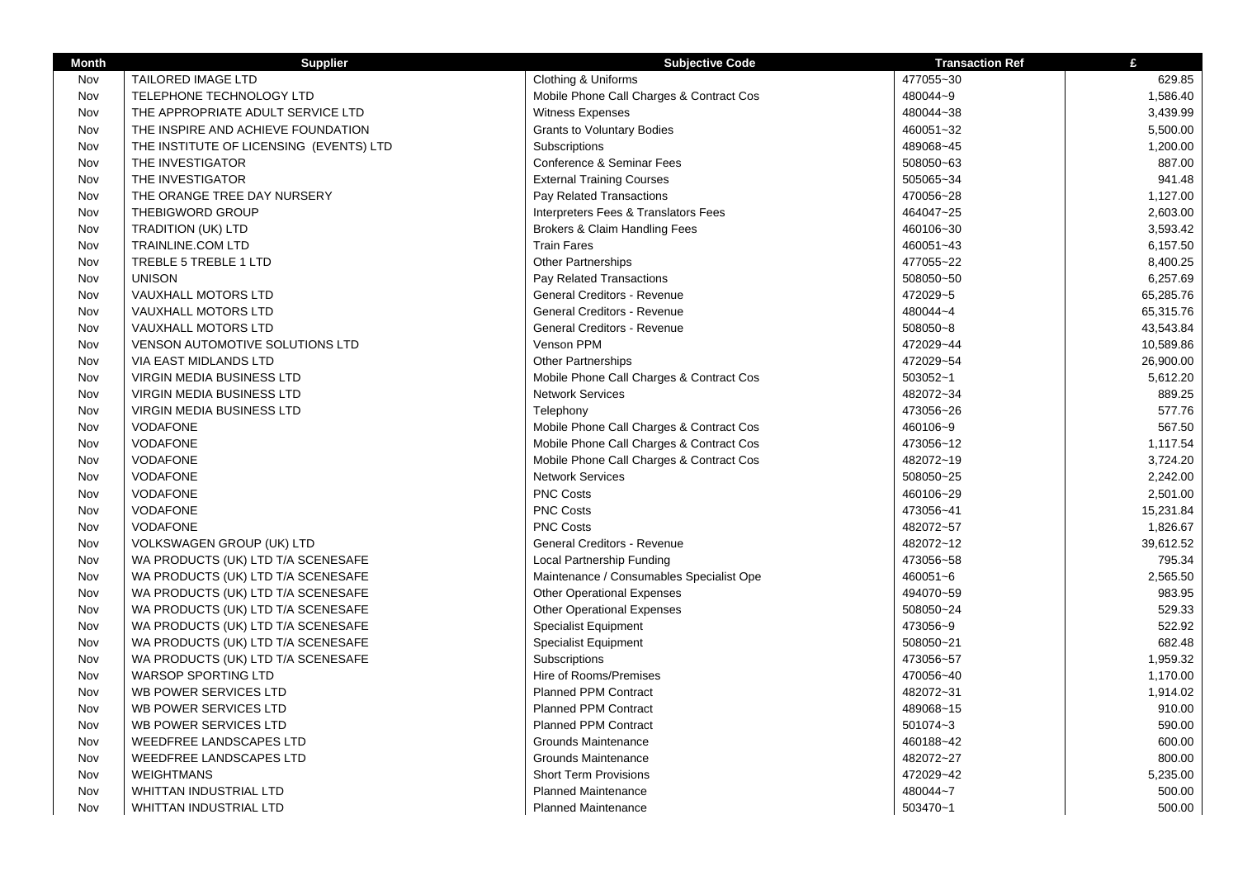| <b>Month</b> | <b>Supplier</b>                         | <b>Subjective Code</b>                   | <b>Transaction Ref</b> | £         |
|--------------|-----------------------------------------|------------------------------------------|------------------------|-----------|
| Nov          | <b>TAILORED IMAGE LTD</b>               | Clothing & Uniforms                      | 477055~30              | 629.85    |
| Nov          | TELEPHONE TECHNOLOGY LTD                | Mobile Phone Call Charges & Contract Cos | 480044~9               | 1,586.40  |
| Nov          | THE APPROPRIATE ADULT SERVICE LTD       | Witness Expenses                         | 480044~38              | 3,439.99  |
| Nov          | THE INSPIRE AND ACHIEVE FOUNDATION      | <b>Grants to Voluntary Bodies</b>        | 460051~32              | 5,500.00  |
| Nov          | THE INSTITUTE OF LICENSING (EVENTS) LTD | Subscriptions                            | 489068~45              | 1,200.00  |
| Nov          | THE INVESTIGATOR                        | <b>Conference &amp; Seminar Fees</b>     | 508050~63              | 887.00    |
| Nov          | THE INVESTIGATOR                        | <b>External Training Courses</b>         | 505065~34              | 941.48    |
| Nov          | THE ORANGE TREE DAY NURSERY             | Pay Related Transactions                 | 470056~28              | 1,127.00  |
| Nov          | THEBIGWORD GROUP                        | Interpreters Fees & Translators Fees     | 464047~25              | 2,603.00  |
| Nov          | <b>TRADITION (UK) LTD</b>               | Brokers & Claim Handling Fees            | 460106~30              | 3,593.42  |
| Nov          | <b>TRAINLINE.COM LTD</b>                | <b>Train Fares</b>                       | 460051~43              | 6,157.50  |
| Nov          | TREBLE 5 TREBLE 1 LTD                   | <b>Other Partnerships</b>                | 477055~22              | 8,400.25  |
| Nov          | <b>UNISON</b>                           | Pay Related Transactions                 | 508050~50              | 6,257.69  |
| Nov          | VAUXHALL MOTORS LTD                     | General Creditors - Revenue              | 472029~5               | 65,285.76 |
| Nov          | VAUXHALL MOTORS LTD                     | General Creditors - Revenue              | 480044~4               | 65,315.76 |
| Nov          | VAUXHALL MOTORS LTD                     | General Creditors - Revenue              | 508050~8               | 43,543.84 |
| Nov          | <b>VENSON AUTOMOTIVE SOLUTIONS LTD</b>  | Venson PPM                               | 472029~44              | 10,589.86 |
| Nov          | VIA EAST MIDLANDS LTD                   | Other Partnerships                       | 472029~54              | 26,900.00 |
| Nov          | <b>VIRGIN MEDIA BUSINESS LTD</b>        | Mobile Phone Call Charges & Contract Cos | 503052~1               | 5,612.20  |
| Nov          | VIRGIN MEDIA BUSINESS LTD               | <b>Network Services</b>                  | 482072~34              | 889.25    |
| Nov          | <b>VIRGIN MEDIA BUSINESS LTD</b>        | Telephony                                | 473056~26              | 577.76    |
| Nov          | <b>VODAFONE</b>                         | Mobile Phone Call Charges & Contract Cos | 460106~9               | 567.50    |
| Nov          | <b>VODAFONE</b>                         | Mobile Phone Call Charges & Contract Cos | 473056~12              | 1,117.54  |
| Nov          | <b>VODAFONE</b>                         | Mobile Phone Call Charges & Contract Cos | 482072~19              | 3,724.20  |
| Nov          | <b>VODAFONE</b>                         | <b>Network Services</b>                  | 508050~25              | 2,242.00  |
| Nov          | <b>VODAFONE</b>                         | <b>PNC Costs</b>                         | 460106~29              | 2,501.00  |
| Nov          | <b>VODAFONE</b>                         | <b>PNC Costs</b>                         | 473056~41              | 15,231.84 |
| Nov          | <b>VODAFONE</b>                         | <b>PNC Costs</b>                         | 482072~57              | 1,826.67  |
| Nov          | <b>VOLKSWAGEN GROUP (UK) LTD</b>        | General Creditors - Revenue              | 482072~12              | 39,612.52 |
| Nov          | WA PRODUCTS (UK) LTD T/A SCENESAFE      | Local Partnership Funding                | 473056~58              | 795.34    |
| Nov          | WA PRODUCTS (UK) LTD T/A SCENESAFE      | Maintenance / Consumables Specialist Ope | 460051~6               | 2,565.50  |
| Nov          | WA PRODUCTS (UK) LTD T/A SCENESAFE      | <b>Other Operational Expenses</b>        | 494070~59              | 983.95    |
| Nov          | WA PRODUCTS (UK) LTD T/A SCENESAFE      | <b>Other Operational Expenses</b>        | 508050~24              | 529.33    |
| Nov          | WA PRODUCTS (UK) LTD T/A SCENESAFE      | <b>Specialist Equipment</b>              | 473056~9               | 522.92    |
| Nov          | WA PRODUCTS (UK) LTD T/A SCENESAFE      | <b>Specialist Equipment</b>              | 508050~21              | 682.48    |
| Nov          | WA PRODUCTS (UK) LTD T/A SCENESAFE      | Subscriptions                            | 473056~57              | 1,959.32  |
| Nov          | <b>WARSOP SPORTING LTD</b>              | Hire of Rooms/Premises                   | 470056~40              | 1,170.00  |
| Nov          | WB POWER SERVICES LTD                   | <b>Planned PPM Contract</b>              | 482072~31              | 1,914.02  |
| Nov          | WB POWER SERVICES LTD                   | <b>Planned PPM Contract</b>              | 489068~15              | 910.00    |
| Nov          | WB POWER SERVICES LTD                   | <b>Planned PPM Contract</b>              | 501074~3               | 590.00    |
| Nov          | <b>WEEDFREE LANDSCAPES LTD</b>          | Grounds Maintenance                      | 460188~42              | 600.00    |
| Nov          | WEEDFREE LANDSCAPES LTD                 | Grounds Maintenance                      | 482072~27              | 800.00    |
| Nov          | <b>WEIGHTMANS</b>                       | <b>Short Term Provisions</b>             | 472029~42              | 5,235.00  |
| Nov          | WHITTAN INDUSTRIAL LTD                  | <b>Planned Maintenance</b>               | 480044~7               | 500.00    |
| Nov          | <b>WHITTAN INDUSTRIAL LTD</b>           | <b>Planned Maintenance</b>               | 503470~1               | 500.00    |